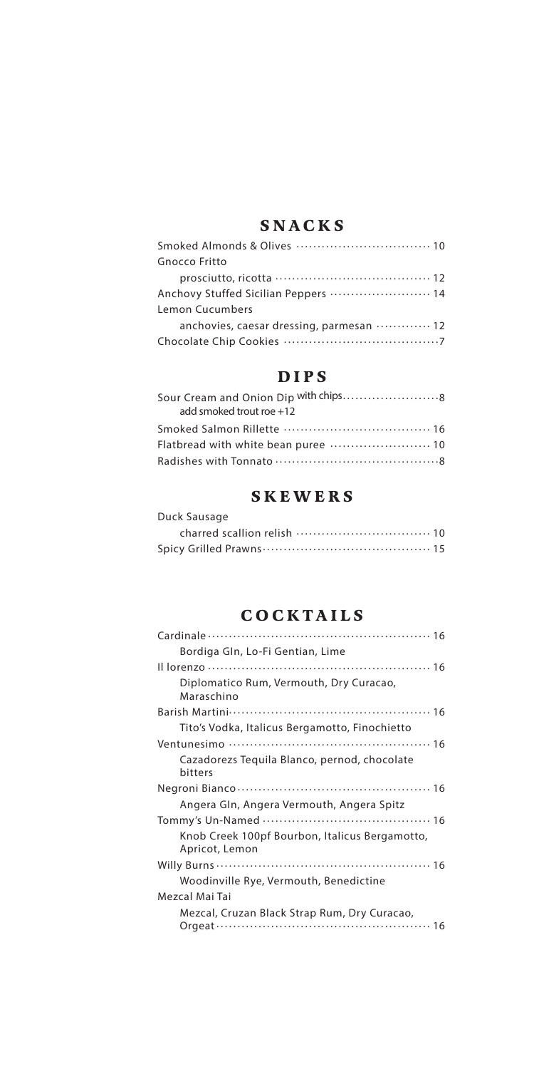## **SNACKS**

## **DIPS**

#### **SKEWERS**

| Duck Sausage |  |
|--------------|--|
|              |  |
|              |  |

## **COCKTAILS**

| Bordiga Gln, Lo-Fi Gentian, Lime                                 |
|------------------------------------------------------------------|
|                                                                  |
| Diplomatico Rum, Vermouth, Dry Curacao,<br>Maraschino            |
|                                                                  |
| Tito's Vodka, Italicus Bergamotto, Finochietto                   |
|                                                                  |
| Cazadorezs Tequila Blanco, pernod, chocolate<br><b>bitters</b>   |
|                                                                  |
| Angera Gln, Angera Vermouth, Angera Spitz                        |
|                                                                  |
| Knob Creek 100pf Bourbon, Italicus Bergamotto,<br>Apricot, Lemon |
|                                                                  |
| Woodinville Rye, Vermouth, Benedictine                           |
| Mezcal Mai Tai                                                   |
| Mezcal, Cruzan Black Strap Rum, Dry Curacao,                     |